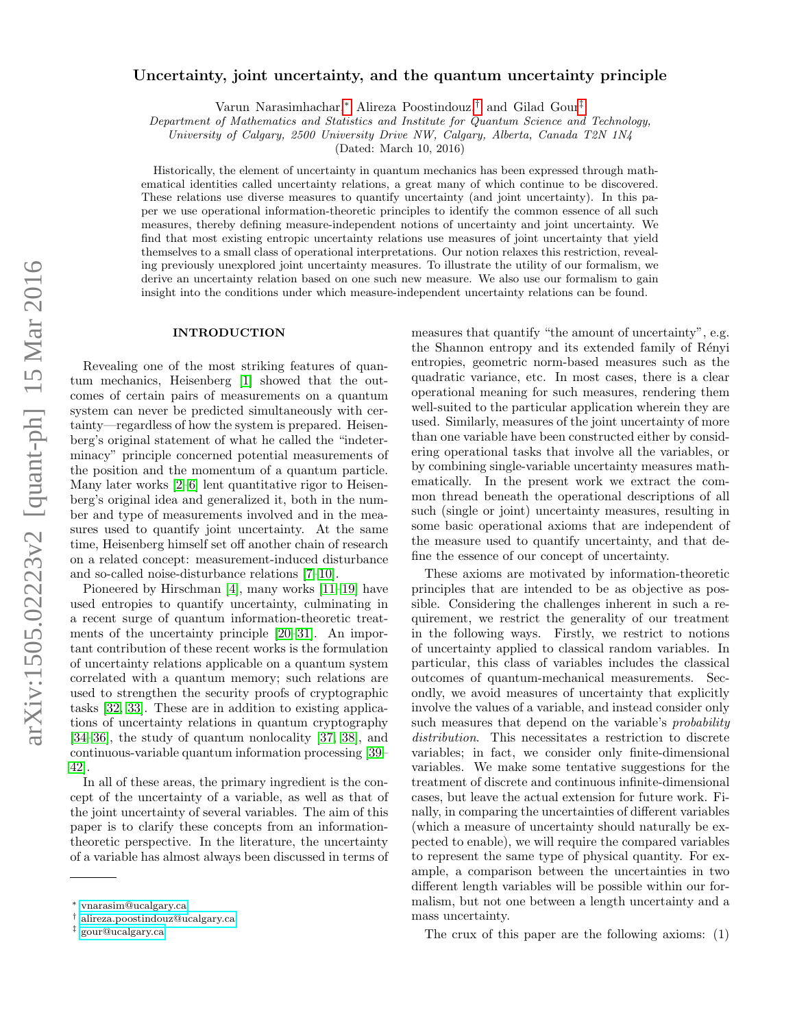# arXiv:1505.02223v2 [quant-ph] 15 Mar 2016 arXiv:1505.02223v2 [quant-ph] 15 Mar 2016

# Uncertainty, joint uncertainty, and the quantum uncertainty principle

Varun Narasimhachar,[∗](#page-0-0) Alireza Poostindouz,[†](#page-0-1) and Gilad Gour[‡](#page-0-2)

Department of Mathematics and Statistics and Institute for Quantum Science and Technology,

University of Calgary, 2500 University Drive NW, Calgary, Alberta, Canada T2N 1N4

(Dated: March 10, 2016)

Historically, the element of uncertainty in quantum mechanics has been expressed through mathematical identities called uncertainty relations, a great many of which continue to be discovered. These relations use diverse measures to quantify uncertainty (and joint uncertainty). In this paper we use operational information-theoretic principles to identify the common essence of all such measures, thereby defining measure-independent notions of uncertainty and joint uncertainty. We find that most existing entropic uncertainty relations use measures of joint uncertainty that yield themselves to a small class of operational interpretations. Our notion relaxes this restriction, revealing previously unexplored joint uncertainty measures. To illustrate the utility of our formalism, we derive an uncertainty relation based on one such new measure. We also use our formalism to gain insight into the conditions under which measure-independent uncertainty relations can be found.

### INTRODUCTION

Revealing one of the most striking features of quantum mechanics, Heisenberg [\[1\]](#page-7-0) showed that the outcomes of certain pairs of measurements on a quantum system can never be predicted simultaneously with certainty—regardless of how the system is prepared. Heisenberg's original statement of what he called the "indeterminacy" principle concerned potential measurements of the position and the momentum of a quantum particle. Many later works [\[2–](#page-7-1)[6\]](#page-7-2) lent quantitative rigor to Heisenberg's original idea and generalized it, both in the number and type of measurements involved and in the measures used to quantify joint uncertainty. At the same time, Heisenberg himself set off another chain of research on a related concept: measurement-induced disturbance and so-called noise-disturbance relations [\[7–](#page-7-3)[10\]](#page-7-4).

Pioneered by Hirschman [\[4\]](#page-7-5), many works [\[11](#page-7-6)[–19\]](#page-8-0) have used entropies to quantify uncertainty, culminating in a recent surge of quantum information-theoretic treatments of the uncertainty principle [\[20–](#page-8-1)[31\]](#page-8-2). An important contribution of these recent works is the formulation of uncertainty relations applicable on a quantum system correlated with a quantum memory; such relations are used to strengthen the security proofs of cryptographic tasks [\[32,](#page-8-3) [33\]](#page-8-4). These are in addition to existing applications of uncertainty relations in quantum cryptography [\[34–](#page-8-5)[36\]](#page-8-6), the study of quantum nonlocality [\[37,](#page-8-7) [38\]](#page-8-8), and continuous-variable quantum information processing [\[39–](#page-8-9) [42\]](#page-8-10).

In all of these areas, the primary ingredient is the concept of the uncertainty of a variable, as well as that of the joint uncertainty of several variables. The aim of this paper is to clarify these concepts from an informationtheoretic perspective. In the literature, the uncertainty of a variable has almost always been discussed in terms of

measures that quantify "the amount of uncertainty", e.g. the Shannon entropy and its extended family of Rényi entropies, geometric norm-based measures such as the quadratic variance, etc. In most cases, there is a clear operational meaning for such measures, rendering them well-suited to the particular application wherein they are used. Similarly, measures of the joint uncertainty of more than one variable have been constructed either by considering operational tasks that involve all the variables, or by combining single-variable uncertainty measures mathematically. In the present work we extract the common thread beneath the operational descriptions of all such (single or joint) uncertainty measures, resulting in some basic operational axioms that are independent of the measure used to quantify uncertainty, and that define the essence of our concept of uncertainty.

These axioms are motivated by information-theoretic principles that are intended to be as objective as possible. Considering the challenges inherent in such a requirement, we restrict the generality of our treatment in the following ways. Firstly, we restrict to notions of uncertainty applied to classical random variables. In particular, this class of variables includes the classical outcomes of quantum-mechanical measurements. Secondly, we avoid measures of uncertainty that explicitly involve the values of a variable, and instead consider only such measures that depend on the variable's *probability* distribution. This necessitates a restriction to discrete variables; in fact, we consider only finite-dimensional variables. We make some tentative suggestions for the treatment of discrete and continuous infinite-dimensional cases, but leave the actual extension for future work. Finally, in comparing the uncertainties of different variables (which a measure of uncertainty should naturally be expected to enable), we will require the compared variables to represent the same type of physical quantity. For example, a comparison between the uncertainties in two different length variables will be possible within our formalism, but not one between a length uncertainty and a mass uncertainty.

The crux of this paper are the following axioms: (1)

<span id="page-0-0"></span><sup>∗</sup> [vnarasim@ucalgary.ca](mailto:vnarasim@ucalgary.ca)

<span id="page-0-1"></span><sup>†</sup> [alireza.poostindouz@ucalgary.ca](mailto:alireza.poostindouz@ucalgary.ca)

<span id="page-0-2"></span><sup>‡</sup> [gour@ucalgary.ca](mailto:gour@ucalgary.ca)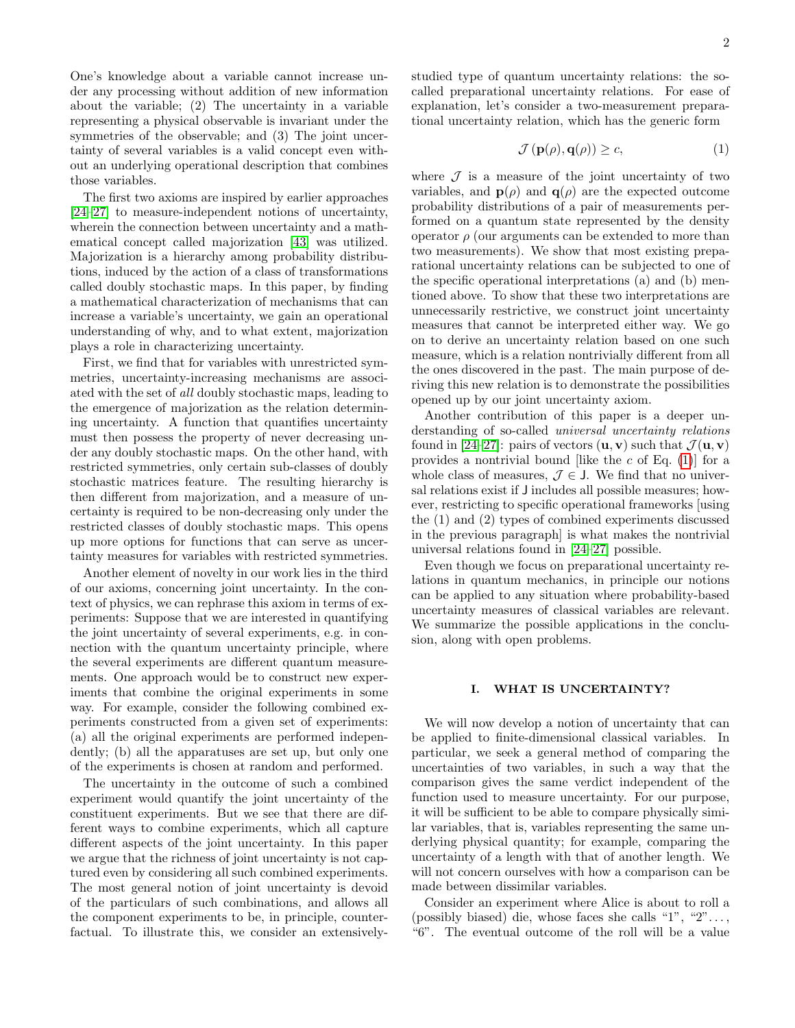One's knowledge about a variable cannot increase under any processing without addition of new information about the variable; (2) The uncertainty in a variable representing a physical observable is invariant under the symmetries of the observable; and (3) The joint uncertainty of several variables is a valid concept even without an underlying operational description that combines those variables.

The first two axioms are inspired by earlier approaches [\[24–](#page-8-11)[27\]](#page-8-12) to measure-independent notions of uncertainty, wherein the connection between uncertainty and a mathematical concept called majorization [\[43\]](#page-8-13) was utilized. Majorization is a hierarchy among probability distributions, induced by the action of a class of transformations called doubly stochastic maps. In this paper, by finding a mathematical characterization of mechanisms that can increase a variable's uncertainty, we gain an operational understanding of why, and to what extent, majorization plays a role in characterizing uncertainty.

First, we find that for variables with unrestricted symmetries, uncertainty-increasing mechanisms are associated with the set of all doubly stochastic maps, leading to the emergence of majorization as the relation determining uncertainty. A function that quantifies uncertainty must then possess the property of never decreasing under any doubly stochastic maps. On the other hand, with restricted symmetries, only certain sub-classes of doubly stochastic matrices feature. The resulting hierarchy is then different from majorization, and a measure of uncertainty is required to be non-decreasing only under the restricted classes of doubly stochastic maps. This opens up more options for functions that can serve as uncertainty measures for variables with restricted symmetries.

Another element of novelty in our work lies in the third of our axioms, concerning joint uncertainty. In the context of physics, we can rephrase this axiom in terms of experiments: Suppose that we are interested in quantifying the joint uncertainty of several experiments, e.g. in connection with the quantum uncertainty principle, where the several experiments are different quantum measurements. One approach would be to construct new experiments that combine the original experiments in some way. For example, consider the following combined experiments constructed from a given set of experiments: (a) all the original experiments are performed independently; (b) all the apparatuses are set up, but only one of the experiments is chosen at random and performed.

The uncertainty in the outcome of such a combined experiment would quantify the joint uncertainty of the constituent experiments. But we see that there are different ways to combine experiments, which all capture different aspects of the joint uncertainty. In this paper we argue that the richness of joint uncertainty is not captured even by considering all such combined experiments. The most general notion of joint uncertainty is devoid of the particulars of such combinations, and allows all the component experiments to be, in principle, counterfactual. To illustrate this, we consider an extensivelystudied type of quantum uncertainty relations: the socalled preparational uncertainty relations. For ease of explanation, let's consider a two-measurement preparational uncertainty relation, which has the generic form

<span id="page-1-0"></span>
$$
\mathcal{J}\left(\mathbf{p}(\rho), \mathbf{q}(\rho)\right) \ge c,\tag{1}
$$

where  $\mathcal J$  is a measure of the joint uncertainty of two variables, and  $p(\rho)$  and  $q(\rho)$  are the expected outcome probability distributions of a pair of measurements performed on a quantum state represented by the density operator  $\rho$  (our arguments can be extended to more than two measurements). We show that most existing preparational uncertainty relations can be subjected to one of the specific operational interpretations (a) and (b) mentioned above. To show that these two interpretations are unnecessarily restrictive, we construct joint uncertainty measures that cannot be interpreted either way. We go on to derive an uncertainty relation based on one such measure, which is a relation nontrivially different from all the ones discovered in the past. The main purpose of deriving this new relation is to demonstrate the possibilities opened up by our joint uncertainty axiom.

Another contribution of this paper is a deeper understanding of so-called universal uncertainty relations found in [\[24–](#page-8-11)[27\]](#page-8-12): pairs of vectors  $(\mathbf{u}, \mathbf{v})$  such that  $\mathcal{J}(\mathbf{u}, \mathbf{v})$ provides a nontrivial bound [like the  $c$  of Eq. [\(1\)](#page-1-0)] for a whole class of measures,  $\mathcal{J} \in J$ . We find that no universal relations exist if J includes all possible measures; however, restricting to specific operational frameworks [using the (1) and (2) types of combined experiments discussed in the previous paragraph] is what makes the nontrivial universal relations found in [\[24–](#page-8-11)[27\]](#page-8-12) possible.

Even though we focus on preparational uncertainty relations in quantum mechanics, in principle our notions can be applied to any situation where probability-based uncertainty measures of classical variables are relevant. We summarize the possible applications in the conclusion, along with open problems.

### I. WHAT IS UNCERTAINTY?

We will now develop a notion of uncertainty that can be applied to finite-dimensional classical variables. In particular, we seek a general method of comparing the uncertainties of two variables, in such a way that the comparison gives the same verdict independent of the function used to measure uncertainty. For our purpose, it will be sufficient to be able to compare physically similar variables, that is, variables representing the same underlying physical quantity; for example, comparing the uncertainty of a length with that of another length. We will not concern ourselves with how a comparison can be made between dissimilar variables.

Consider an experiment where Alice is about to roll a (possibly biased) die, whose faces she calls "1", "2"..., "6". The eventual outcome of the roll will be a value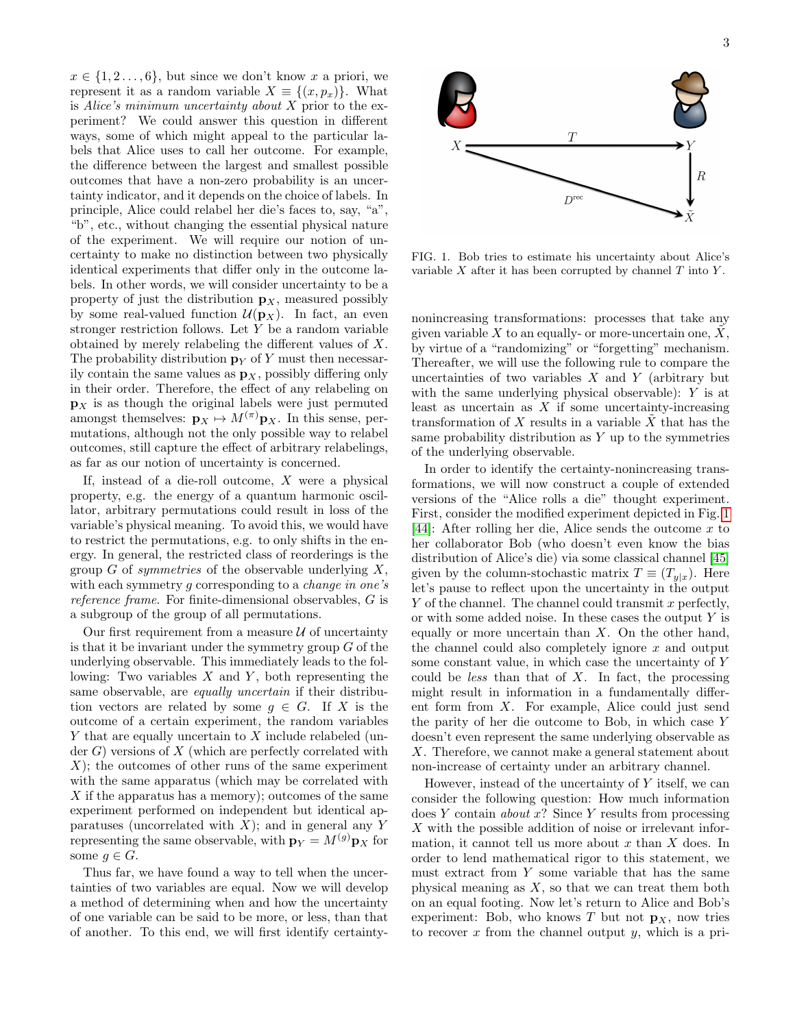$x \in \{1, 2, \ldots, 6\}$ , but since we don't know x a priori, we represent it as a random variable  $X \equiv \{(x, p_x)\}\.$  What is Alice's minimum uncertainty about  $X$  prior to the experiment? We could answer this question in different ways, some of which might appeal to the particular labels that Alice uses to call her outcome. For example, the difference between the largest and smallest possible outcomes that have a non-zero probability is an uncertainty indicator, and it depends on the choice of labels. In principle, Alice could relabel her die's faces to, say, "a", "b", etc., without changing the essential physical nature of the experiment. We will require our notion of uncertainty to make no distinction between two physically identical experiments that differ only in the outcome labels. In other words, we will consider uncertainty to be a property of just the distribution  $\mathbf{p}_X$ , measured possibly by some real-valued function  $\mathcal{U}(\mathbf{p}_X)$ . In fact, an even stronger restriction follows. Let Y be a random variable obtained by merely relabeling the different values of X. The probability distribution  $\mathbf{p}_Y$  of Y must then necessarily contain the same values as  $\mathbf{p}_X$ , possibly differing only in their order. Therefore, the effect of any relabeling on  $\mathbf{p}_X$  is as though the original labels were just permuted amongst themselves:  $\mathbf{p}_X \mapsto M^{(\pi)}\mathbf{p}_X$ . In this sense, permutations, although not the only possible way to relabel outcomes, still capture the effect of arbitrary relabelings, as far as our notion of uncertainty is concerned.

If, instead of a die-roll outcome,  $X$  were a physical property, e.g. the energy of a quantum harmonic oscillator, arbitrary permutations could result in loss of the variable's physical meaning. To avoid this, we would have to restrict the permutations, e.g. to only shifts in the energy. In general, the restricted class of reorderings is the group  $G$  of symmetries of the observable underlying  $X$ , with each symmetry g corresponding to a *change in one's* reference frame. For finite-dimensional observables, G is a subgroup of the group of all permutations.

Our first requirement from a measure  $\mathcal U$  of uncertainty is that it be invariant under the symmetry group G of the underlying observable. This immediately leads to the following: Two variables  $X$  and  $Y$ , both representing the same observable, are *equally uncertain* if their distribution vectors are related by some  $g \in G$ . If X is the outcome of a certain experiment, the random variables Y that are equally uncertain to X include relabeled (under  $G$ ) versions of  $X$  (which are perfectly correlated with  $X$ ; the outcomes of other runs of the same experiment with the same apparatus (which may be correlated with  $X$  if the apparatus has a memory); outcomes of the same experiment performed on independent but identical apparatuses (uncorrelated with  $X$ ); and in general any Y representing the same observable, with  $\mathbf{p}_Y = M^{(g)} \mathbf{p}_X$  for some  $g \in G$ .

Thus far, we have found a way to tell when the uncertainties of two variables are equal. Now we will develop a method of determining when and how the uncertainty of one variable can be said to be more, or less, than that of another. To this end, we will first identify certainty-

<span id="page-2-0"></span>

FIG. 1. Bob tries to estimate his uncertainty about Alice's variable  $X$  after it has been corrupted by channel  $T$  into  $Y$ .

nonincreasing transformations: processes that take any given variable  $X$  to an equally- or more-uncertain one,  $X$ , by virtue of a "randomizing" or "forgetting" mechanism. Thereafter, we will use the following rule to compare the uncertainties of two variables  $X$  and  $Y$  (arbitrary but with the same underlying physical observable): Y is at least as uncertain as  $X$  if some uncertainty-increasing transformation of X results in a variable  $\tilde{X}$  that has the same probability distribution as  $Y$  up to the symmetries of the underlying observable.

In order to identify the certainty-nonincreasing transformations, we will now construct a couple of extended versions of the "Alice rolls a die" thought experiment. First, consider the modified experiment depicted in Fig. [1](#page-2-0) [\[44\]](#page-8-14): After rolling her die, Alice sends the outcome  $x$  to her collaborator Bob (who doesn't even know the bias distribution of Alice's die) via some classical channel [\[45\]](#page-8-15) given by the column-stochastic matrix  $T \equiv (T_{y|x})$ . Here let's pause to reflect upon the uncertainty in the output Y of the channel. The channel could transmit  $x$  perfectly, or with some added noise. In these cases the output Y is equally or more uncertain than  $X$ . On the other hand, the channel could also completely ignore  $x$  and output some constant value, in which case the uncertainty of Y could be *less* than that of  $X$ . In fact, the processing might result in information in a fundamentally different form from X. For example, Alice could just send the parity of her die outcome to Bob, in which case Y doesn't even represent the same underlying observable as X. Therefore, we cannot make a general statement about non-increase of certainty under an arbitrary channel.

However, instead of the uncertainty of  $Y$  itself, we can consider the following question: How much information does  $Y$  contain *about*  $x$ ? Since  $Y$  results from processing X with the possible addition of noise or irrelevant information, it cannot tell us more about  $x$  than  $X$  does. In order to lend mathematical rigor to this statement, we must extract from Y some variable that has the same physical meaning as  $X$ , so that we can treat them both on an equal footing. Now let's return to Alice and Bob's experiment: Bob, who knows T but not  $\mathbf{p}_X$ , now tries to recover x from the channel output y, which is a pri-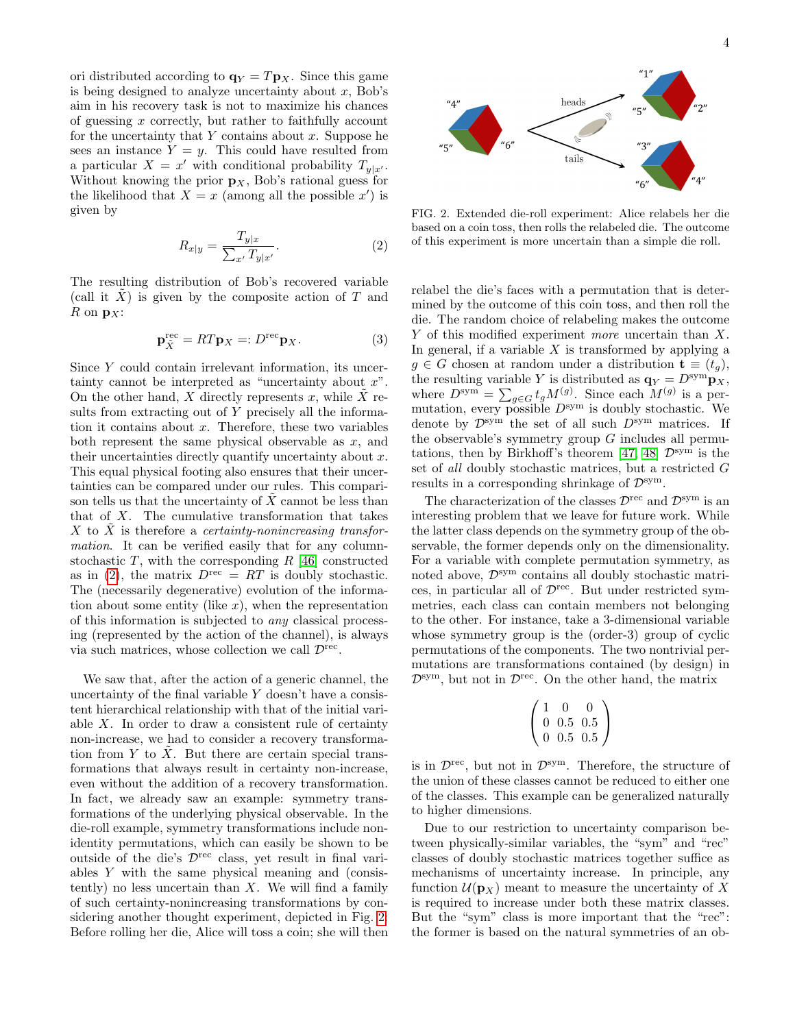ori distributed according to  $\mathbf{q}_Y = T\mathbf{p}_X$ . Since this game is being designed to analyze uncertainty about  $x$ , Bob's aim in his recovery task is not to maximize his chances of guessing  $x$  correctly, but rather to faithfully account for the uncertainty that  $Y$  contains about  $x$ . Suppose he sees an instance  $Y = y$ . This could have resulted from a particular  $X = x'$  with conditional probability  $T_{y|x'}$ . Without knowing the prior  $\mathbf{p}_X$ , Bob's rational guess for the likelihood that  $X = x$  (among all the possible x') is given by

<span id="page-3-0"></span>
$$
R_{x|y} = \frac{T_{y|x}}{\sum_{x'} T_{y|x'}}.\tag{2}
$$

The resulting distribution of Bob's recovered variable (call it  $X$ ) is given by the composite action of T and R on  $\mathbf{p}_X$ :

$$
\mathbf{p}_{\tilde{X}}^{\text{rec}} = RT\mathbf{p}_X =: D^{\text{rec}}\mathbf{p}_X. \tag{3}
$$

Since Y could contain irrelevant information, its uncertainty cannot be interpreted as "uncertainty about  $x$ ". On the other hand, X directly represents x, while X results from extracting out of Y precisely all the information it contains about  $x$ . Therefore, these two variables both represent the same physical observable as  $x$ , and their uncertainties directly quantify uncertainty about  $x$ . This equal physical footing also ensures that their uncertainties can be compared under our rules. This comparison tells us that the uncertainty of  $\tilde{X}$  cannot be less than that of  $X$ . The cumulative transformation that takes X to X is therefore a *certainty-nonincreasing transfor*mation. It can be verified easily that for any columnstochastic T, with the corresponding  $R$  [\[46\]](#page-8-16) constructed as in [\(2\)](#page-3-0), the matrix  $D^{\text{rec}} = RT$  is doubly stochastic. The (necessarily degenerative) evolution of the information about some entity (like  $x$ ), when the representation of this information is subjected to any classical processing (represented by the action of the channel), is always via such matrices, whose collection we call  $\mathcal{D}^{\text{rec}}$ .

We saw that, after the action of a generic channel, the uncertainty of the final variable  $Y$  doesn't have a consistent hierarchical relationship with that of the initial variable  $X$ . In order to draw a consistent rule of certainty non-increase, we had to consider a recovery transformation from  $Y$  to  $X$ . But there are certain special transformations that always result in certainty non-increase, even without the addition of a recovery transformation. In fact, we already saw an example: symmetry transformations of the underlying physical observable. In the die-roll example, symmetry transformations include nonidentity permutations, which can easily be shown to be outside of the die's  $\mathcal{D}^{\text{rec}}$  class, yet result in final variables Y with the same physical meaning and (consistently) no less uncertain than  $X$ . We will find a family of such certainty-nonincreasing transformations by considering another thought experiment, depicted in Fig. [2:](#page-3-1) Before rolling her die, Alice will toss a coin; she will then

<span id="page-3-1"></span>

FIG. 2. Extended die-roll experiment: Alice relabels her die based on a coin toss, then rolls the relabeled die. The outcome of this experiment is more uncertain than a simple die roll.

relabel the die's faces with a permutation that is determined by the outcome of this coin toss, and then roll the die. The random choice of relabeling makes the outcome Y of this modified experiment more uncertain than X. In general, if a variable  $X$  is transformed by applying a  $g \in G$  chosen at random under a distribution  $\mathbf{t} \equiv (t_q)$ , the resulting variable Y is distributed as  $\mathbf{q}_Y = D^{\text{sym}} \mathbf{p}_X$ , where  $D^{\text{sym}} = \sum_{g \in G} t_g M^{(g)}$ . Since each  $M^{(g)}$  is a permutation, every possible  $D^{sym}$  is doubly stochastic. We denote by  $\mathcal{D}^{\text{sym}}$  the set of all such  $D^{\text{sym}}$  matrices. If the observable's symmetry group  $G$  includes all permu-tations, then by Birkhoff's theorem [\[47,](#page-8-17) [48\]](#page-8-18)  $\mathcal{D}^{\text{sym}}$  is the set of all doubly stochastic matrices, but a restricted G results in a corresponding shrinkage of  $\mathcal{D}^{\text{sym}}$ .

The characterization of the classes  $\mathcal{D}^{\text{rec}}$  and  $\mathcal{D}^{\text{sym}}$  is an interesting problem that we leave for future work. While the latter class depends on the symmetry group of the observable, the former depends only on the dimensionality. For a variable with complete permutation symmetry, as noted above,  $\mathcal{D}^{\text{sym}}$  contains all doubly stochastic matrices, in particular all of  $\mathcal{D}^{\text{rec}}$ . But under restricted symmetries, each class can contain members not belonging to the other. For instance, take a 3-dimensional variable whose symmetry group is the (order-3) group of cyclic permutations of the components. The two nontrivial permutations are transformations contained (by design) in  $\mathcal{D}^{\text{sym}}$ , but not in  $\mathcal{D}^{\text{rec}}$ . On the other hand, the matrix

$$
\left(\begin{array}{ccc} 1 & 0 & 0 \\ 0 & 0.5 & 0.5 \\ 0 & 0.5 & 0.5 \end{array}\right)
$$

is in  $\mathcal{D}^{\text{rec}}$ , but not in  $\mathcal{D}^{\text{sym}}$ . Therefore, the structure of the union of these classes cannot be reduced to either one of the classes. This example can be generalized naturally to higher dimensions.

Due to our restriction to uncertainty comparison between physically-similar variables, the "sym" and "rec" classes of doubly stochastic matrices together suffice as mechanisms of uncertainty increase. In principle, any function  $\mathcal{U}(\mathbf{p}_X)$  meant to measure the uncertainty of X is required to increase under both these matrix classes. But the "sym" class is more important that the "rec": the former is based on the natural symmetries of an ob-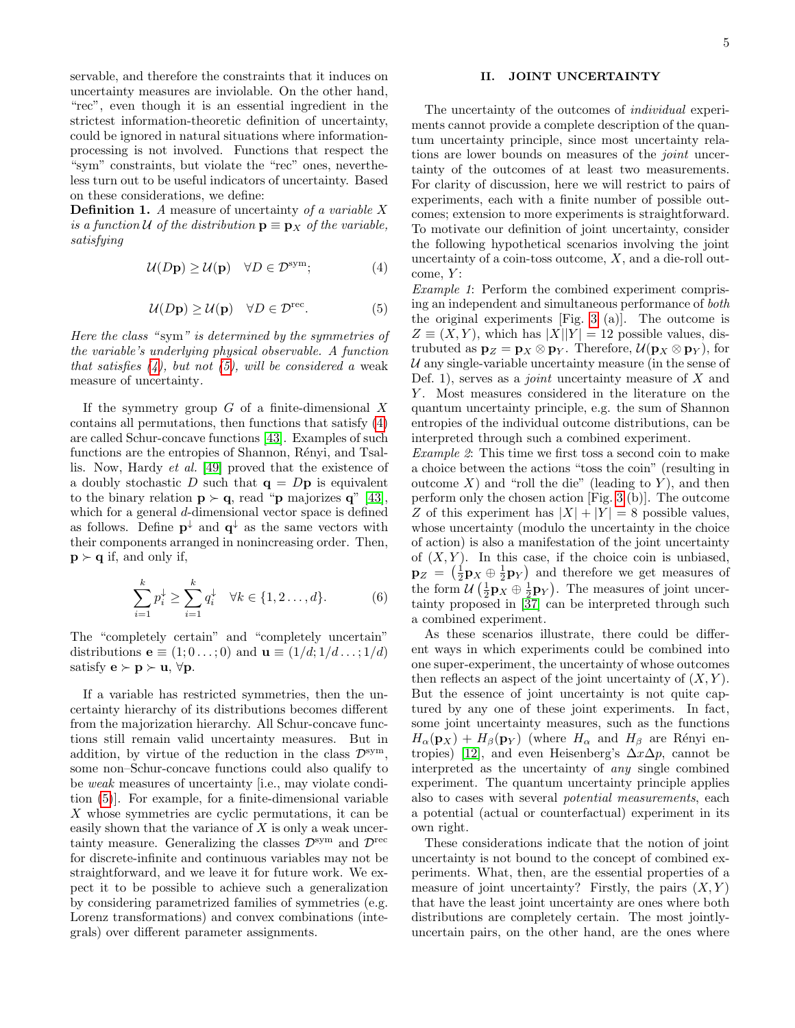5

servable, and therefore the constraints that it induces on uncertainty measures are inviolable. On the other hand, "rec", even though it is an essential ingredient in the strictest information-theoretic definition of uncertainty, could be ignored in natural situations where informationprocessing is not involved. Functions that respect the "sym" constraints, but violate the "rec" ones, nevertheless turn out to be useful indicators of uncertainty. Based on these considerations, we define:

**Definition 1.** A measure of uncertainty of a variable  $X$ is a function U of the distribution  $\mathbf{p} \equiv \mathbf{p}_X$  of the variable, satisfying

<span id="page-4-0"></span>
$$
\mathcal{U}(D\mathbf{p}) \ge \mathcal{U}(\mathbf{p}) \quad \forall D \in \mathcal{D}^{\text{sym}}; \tag{4}
$$

<span id="page-4-1"></span>
$$
\mathcal{U}(D\mathbf{p}) \ge \mathcal{U}(\mathbf{p}) \quad \forall D \in \mathcal{D}^{\text{rec}}.\tag{5}
$$

Here the class "sym" is determined by the symmetries of the variable's underlying physical observable. A function that satisfies  $(4)$ , but not  $(5)$ , will be considered a weak measure of uncertainty.

If the symmetry group  $G$  of a finite-dimensional  $X$ contains all permutations, then functions that satisfy [\(4\)](#page-4-0) are called Schur-concave functions [\[43\]](#page-8-13). Examples of such functions are the entropies of Shannon, Rényi, and Tsallis. Now, Hardy et al. [\[49\]](#page-8-19) proved that the existence of a doubly stochastic D such that  $q = Dp$  is equivalent to the binary relation  $\mathbf{p} \succ \mathbf{q}$ , read "**p** majorizes **q**" [\[43\]](#page-8-13), which for a general d-dimensional vector space is defined as follows. Define  $\mathbf{p}^{\downarrow}$  and  $\mathbf{q}^{\downarrow}$  as the same vectors with their components arranged in nonincreasing order. Then,  $\mathbf{p} \succ \mathbf{q}$  if, and only if,

$$
\sum_{i=1}^{k} p_i^{\downarrow} \ge \sum_{i=1}^{k} q_i^{\downarrow} \quad \forall k \in \{1, 2 \dots, d\}.
$$
 (6)

The "completely certain" and "completely uncertain" distributions  $\mathbf{e} \equiv (1; 0 \dots; 0)$  and  $\mathbf{u} \equiv (1/d; 1/d \dots; 1/d)$ satisfy  $\mathbf{e} \succ \mathbf{p} \succ \mathbf{u}$ ,  $\forall \mathbf{p}$ .

If a variable has restricted symmetries, then the uncertainty hierarchy of its distributions becomes different from the majorization hierarchy. All Schur-concave functions still remain valid uncertainty measures. But in addition, by virtue of the reduction in the class  $\mathcal{D}^{\text{sym}}$ . some non–Schur-concave functions could also qualify to be weak measures of uncertainty [i.e., may violate condition [\(5\)](#page-4-1)]. For example, for a finite-dimensional variable X whose symmetries are cyclic permutations, it can be easily shown that the variance of  $X$  is only a weak uncertainty measure. Generalizing the classes  $\mathcal{D}^{\text{sym}}$  and  $\mathcal{D}^{\text{rec}}$ for discrete-infinite and continuous variables may not be straightforward, and we leave it for future work. We expect it to be possible to achieve such a generalization by considering parametrized families of symmetries (e.g. Lorenz transformations) and convex combinations (integrals) over different parameter assignments.

### <span id="page-4-2"></span>II. JOINT UNCERTAINTY

The uncertainty of the outcomes of *individual* experiments cannot provide a complete description of the quantum uncertainty principle, since most uncertainty relations are lower bounds on measures of the joint uncertainty of the outcomes of at least two measurements. For clarity of discussion, here we will restrict to pairs of experiments, each with a finite number of possible outcomes; extension to more experiments is straightforward. To motivate our definition of joint uncertainty, consider the following hypothetical scenarios involving the joint uncertainty of a coin-toss outcome,  $X$ , and a die-roll outcome,  $Y$ :

Example 1: Perform the combined experiment comprising an independent and simultaneous performance of both the original experiments [Fig. [3](#page-5-0) (a)]. The outcome is  $Z \equiv (X, Y)$ , which has  $|X||Y| = 12$  possible values, distrubuted as  $\mathbf{p}_Z = \mathbf{p}_X \otimes \mathbf{p}_Y$ . Therefore,  $\mathcal{U}(\mathbf{p}_X \otimes \mathbf{p}_Y)$ , for  $U$  any single-variable uncertainty measure (in the sense of Def. 1), serves as a *joint* uncertainty measure of  $X$  and Y. Most measures considered in the literature on the quantum uncertainty principle, e.g. the sum of Shannon entropies of the individual outcome distributions, can be interpreted through such a combined experiment.

Example 2: This time we first toss a second coin to make a choice between the actions "toss the coin" (resulting in outcome X) and "roll the die" (leading to Y), and then perform only the chosen action [Fig. [3](#page-5-0) (b)]. The outcome Z of this experiment has  $|X| + |Y| = 8$  possible values, whose uncertainty (modulo the uncertainty in the choice of action) is also a manifestation of the joint uncertainty of  $(X, Y)$ . In this case, if the choice coin is unbiased,  $\mathbf{p}_Z = \left(\frac{1}{2}\mathbf{p}_X \oplus \frac{1}{2}\mathbf{p}_Y\right)$  and therefore we get measures of the form  $\mathcal{U}\left(\frac{1}{2}\mathbf{p}_X \oplus \frac{1}{2}\mathbf{p}_Y\right)$ . The measures of joint uncertainty proposed in [\[37\]](#page-8-7) can be interpreted through such a combined experiment.

As these scenarios illustrate, there could be different ways in which experiments could be combined into one super-experiment, the uncertainty of whose outcomes then reflects an aspect of the joint uncertainty of  $(X, Y)$ . But the essence of joint uncertainty is not quite captured by any one of these joint experiments. In fact, some joint uncertainty measures, such as the functions  $H_{\alpha}(\mathbf{p}_X) + H_{\beta}(\mathbf{p}_Y)$  (where  $H_{\alpha}$  and  $H_{\beta}$  are Rényi en-tropies) [\[12\]](#page-8-20), and even Heisenberg's  $\Delta x \Delta p$ , cannot be interpreted as the uncertainty of any single combined experiment. The quantum uncertainty principle applies also to cases with several potential measurements, each a potential (actual or counterfactual) experiment in its own right.

These considerations indicate that the notion of joint uncertainty is not bound to the concept of combined experiments. What, then, are the essential properties of a measure of joint uncertainty? Firstly, the pairs  $(X, Y)$ that have the least joint uncertainty are ones where both distributions are completely certain. The most jointlyuncertain pairs, on the other hand, are the ones where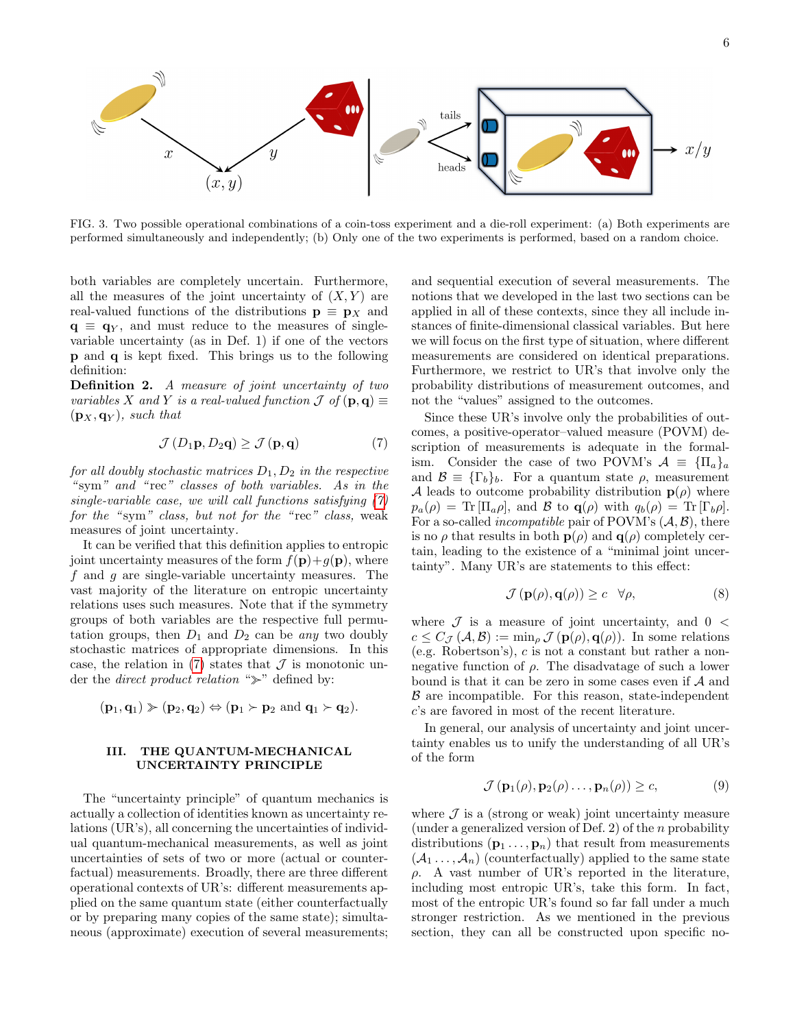

<span id="page-5-0"></span>FIG. 3. Two possible operational combinations of a coin-toss experiment and a die-roll experiment: (a) Both experiments are performed simultaneously and independently; (b) Only one of the two experiments is performed, based on a random choice.

both variables are completely uncertain. Furthermore, all the measures of the joint uncertainty of  $(X, Y)$  are real-valued functions of the distributions  $\mathbf{p} \equiv \mathbf{p}_X$  and  $q \equiv q_Y$ , and must reduce to the measures of singlevariable uncertainty (as in Def. 1) if one of the vectors p and q is kept fixed. This brings us to the following definition:

Definition 2. A measure of joint uncertainty of two variables X and Y is a real-valued function  $\mathcal J$  of  $(\mathbf p, \mathbf q) \equiv$  $(\mathbf{p}_X, \mathbf{q}_Y)$ , such that

<span id="page-5-1"></span>
$$
\mathcal{J}(D_1\mathbf{p}, D_2\mathbf{q}) \ge \mathcal{J}(\mathbf{p}, \mathbf{q})\tag{7}
$$

for all doubly stochastic matrices  $D_1, D_2$  in the respective " sym" and " rec" classes of both variables. As in the single-variable case, we will call functions satisfying [\(7\)](#page-5-1) for the "sym" class, but not for the "rec" class, weak measures of joint uncertainty.

It can be verified that this definition applies to entropic joint uncertainty measures of the form  $f(\mathbf{p})+g(\mathbf{p})$ , where f and g are single-variable uncertainty measures. The vast majority of the literature on entropic uncertainty relations uses such measures. Note that if the symmetry groups of both variables are the respective full permutation groups, then  $D_1$  and  $D_2$  can be any two doubly stochastic matrices of appropriate dimensions. In this case, the relation in [\(7\)](#page-5-1) states that  $\mathcal J$  is monotonic under the *direct product relation* " $\gg$ " defined by:

$$
(\mathbf{p}_1, \mathbf{q}_1) \not\gg (\mathbf{p}_2, \mathbf{q}_2) \Leftrightarrow (\mathbf{p}_1 \succ \mathbf{p}_2 \text{ and } \mathbf{q}_1 \succ \mathbf{q}_2).
$$

### III. THE QUANTUM-MECHANICAL UNCERTAINTY PRINCIPLE

The "uncertainty principle" of quantum mechanics is actually a collection of identities known as uncertainty relations (UR's), all concerning the uncertainties of individual quantum-mechanical measurements, as well as joint uncertainties of sets of two or more (actual or counterfactual) measurements. Broadly, there are three different operational contexts of UR's: different measurements applied on the same quantum state (either counterfactually or by preparing many copies of the same state); simultaneous (approximate) execution of several measurements; and sequential execution of several measurements. The notions that we developed in the last two sections can be applied in all of these contexts, since they all include instances of finite-dimensional classical variables. But here we will focus on the first type of situation, where different measurements are considered on identical preparations. Furthermore, we restrict to UR's that involve only the probability distributions of measurement outcomes, and not the "values" assigned to the outcomes.

Since these UR's involve only the probabilities of outcomes, a positive-operator–valued measure (POVM) description of measurements is adequate in the formalism. Consider the case of two POVM's  $A = {\Pi_a}_a$ and  $\mathcal{B} \equiv {\{\Gamma_b\}_b}$ . For a quantum state  $\rho$ , measurement A leads to outcome probability distribution  $p(\rho)$  where  $p_a(\rho) = \text{Tr} [\Pi_a \rho],$  and  $\beta$  to  $\mathbf{q}(\rho)$  with  $q_b(\rho) = \text{Tr} [\Gamma_b \rho].$ For a so-called *incompatible* pair of POVM's  $(A, B)$ , there is no  $\rho$  that results in both  $p(\rho)$  and  $q(\rho)$  completely certain, leading to the existence of a "minimal joint uncertainty". Many UR's are statements to this effect:

<span id="page-5-2"></span>
$$
\mathcal{J}(\mathbf{p}(\rho), \mathbf{q}(\rho)) \ge c \quad \forall \rho,\tag{8}
$$

where  $\mathcal J$  is a measure of joint uncertainty, and  $0 <$  $c \leq C_{\mathcal{J}}(\mathcal{A}, \mathcal{B}) := \min_{\rho} \mathcal{J}(\mathbf{p}(\rho), \mathbf{q}(\rho)).$  In some relations (e.g. Robertson's), c is not a constant but rather a nonnegative function of  $\rho$ . The disadvatage of such a lower bound is that it can be zero in some cases even if A and  $\beta$  are incompatible. For this reason, state-independent c's are favored in most of the recent literature.

In general, our analysis of uncertainty and joint uncertainty enables us to unify the understanding of all UR's of the form

$$
\mathcal{J}\left(\mathbf{p}_1(\rho), \mathbf{p}_2(\rho) \dots, \mathbf{p}_n(\rho)\right) \ge c,\tag{9}
$$

where  $\mathcal J$  is a (strong or weak) joint uncertainty measure (under a generalized version of Def. 2) of the  $n$  probability distributions  $(\mathbf{p}_1 \ldots, \mathbf{p}_n)$  that result from measurements  $(\mathcal{A}_1 \ldots, \mathcal{A}_n)$  (counterfactually) applied to the same state ρ. A vast number of UR's reported in the literature, including most entropic UR's, take this form. In fact, most of the entropic UR's found so far fall under a much stronger restriction. As we mentioned in the previous section, they can all be constructed upon specific no-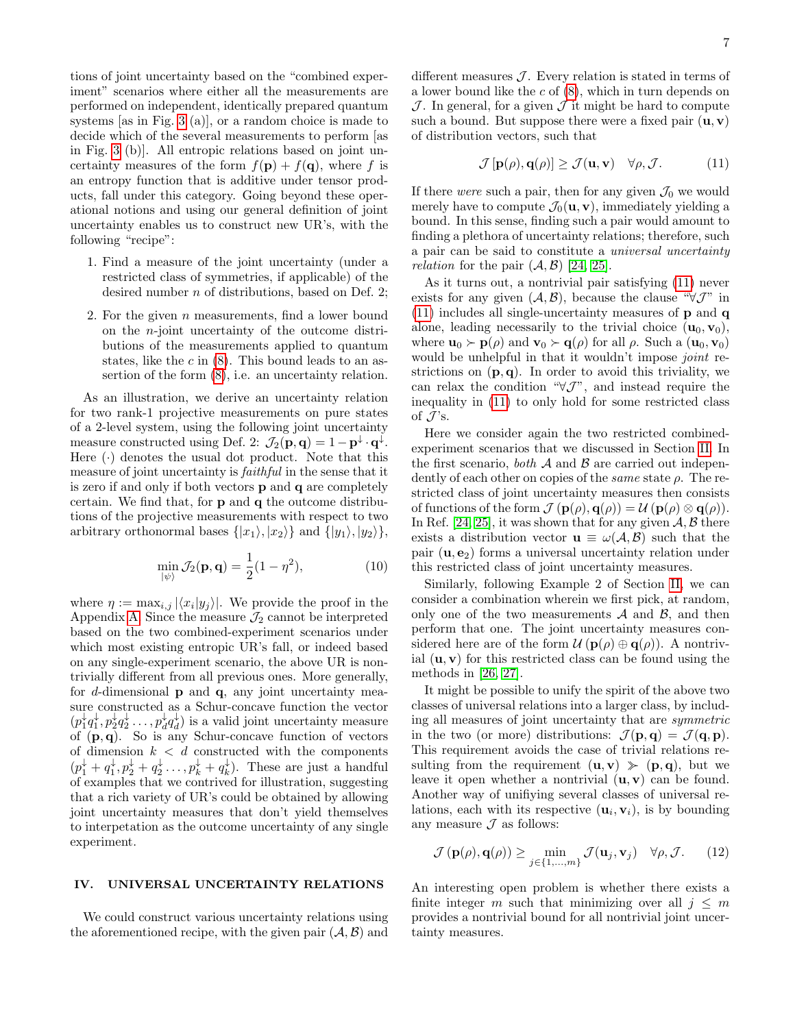tions of joint uncertainty based on the "combined experiment" scenarios where either all the measurements are performed on independent, identically prepared quantum systems [as in Fig. [3](#page-5-0) (a)], or a random choice is made to decide which of the several measurements to perform [as in Fig. [3](#page-5-0) (b)]. All entropic relations based on joint uncertainty measures of the form  $f(\mathbf{p}) + f(\mathbf{q})$ , where f is an entropy function that is additive under tensor products, fall under this category. Going beyond these operational notions and using our general definition of joint uncertainty enables us to construct new UR's, with the following "recipe":

- 1. Find a measure of the joint uncertainty (under a restricted class of symmetries, if applicable) of the desired number  $n$  of distributions, based on Def. 2;
- 2. For the given  $n$  measurements, find a lower bound on the n-joint uncertainty of the outcome distributions of the measurements applied to quantum states, like the  $c$  in  $(8)$ . This bound leads to an assertion of the form [\(8\)](#page-5-2), i.e. an uncertainty relation.

As an illustration, we derive an uncertainty relation for two rank-1 projective measurements on pure states of a 2-level system, using the following joint uncertainty measure constructed using Def. 2:  $\mathcal{J}_2(\mathbf{p}, \mathbf{q}) = 1 - \mathbf{p}^{\downarrow} \cdot \mathbf{q}^{\downarrow}$ . Here  $(\cdot)$  denotes the usual dot product. Note that this measure of joint uncertainty is *faithful* in the sense that it is zero if and only if both vectors p and q are completely certain. We find that, for p and q the outcome distributions of the projective measurements with respect to two arbitrary orthonormal bases  $\{|x_1\rangle, |x_2\rangle\}$  and  $\{|y_1\rangle, |y_2\rangle\}$ ,

$$
\min_{|\psi\rangle} \mathcal{J}_2(\mathbf{p}, \mathbf{q}) = \frac{1}{2} (1 - \eta^2), \tag{10}
$$

where  $\eta := \max_{i,j} |\langle x_i | y_j \rangle|$ . We provide the proof in the Appendix [A.](#page-9-0) Since the measure  $\mathcal{J}_2$  cannot be interpreted based on the two combined-experiment scenarios under which most existing entropic UR's fall, or indeed based on any single-experiment scenario, the above UR is nontrivially different from all previous ones. More generally, for  $d$ -dimensional  $\bf{p}$  and  $\bf{q}$ , any joint uncertainty measure constructed as a Schur-concave function the vector  $(p_1^{\downarrow}q_1^{\downarrow}, p_2^{\downarrow}q_2^{\downarrow} \ldots, p_d^{\downarrow}q_d^{\downarrow})$  is a valid joint uncertainty measure of  $(p, q)$ . So is any Schur-concave function of vectors of dimension  $k < d$  constructed with the components  $(p_1^{\downarrow} + q_1^{\downarrow}, p_2^{\downarrow} + q_2^{\downarrow}, \ldots, p_k^{\downarrow} + q_k^{\downarrow})$ . These are just a handful of examples that we contrived for illustration, suggesting that a rich variety of UR's could be obtained by allowing joint uncertainty measures that don't yield themselves to interpetation as the outcome uncertainty of any single experiment.

### <span id="page-6-1"></span>IV. UNIVERSAL UNCERTAINTY RELATIONS

We could construct various uncertainty relations using the aforementioned recipe, with the given pair  $(A, \mathcal{B})$  and different measures  $J$ . Every relation is stated in terms of a lower bound like the  $c$  of  $(8)$ , which in turn depends on  $\mathcal J$ . In general, for a given  $\mathcal J$  it might be hard to compute such a bound. But suppose there were a fixed pair  $(\mathbf{u}, \mathbf{v})$ of distribution vectors, such that

<span id="page-6-0"></span>
$$
\mathcal{J}\left[\mathbf{p}(\rho), \mathbf{q}(\rho)\right] \ge \mathcal{J}(\mathbf{u}, \mathbf{v}) \quad \forall \rho, \mathcal{J}.
$$
 (11)

If there were such a pair, then for any given  $\mathcal{J}_0$  we would merely have to compute  $\mathcal{J}_0(\mathbf{u}, \mathbf{v})$ , immediately yielding a bound. In this sense, finding such a pair would amount to finding a plethora of uncertainty relations; therefore, such a pair can be said to constitute a universal uncertainty *relation* for the pair  $(\mathcal{A}, \mathcal{B})$  [\[24,](#page-8-11) [25\]](#page-8-21).

As it turns out, a nontrivial pair satisfying [\(11\)](#page-6-0) never exists for any given  $(A, B)$ , because the clause " $\forall \mathcal{J}$ " in [\(11\)](#page-6-0) includes all single-uncertainty measures of p and q alone, leading necessarily to the trivial choice  $(\mathbf{u}_0, \mathbf{v}_0)$ , where  $\mathbf{u}_0 \succ \mathbf{p}(\rho)$  and  $\mathbf{v}_0 \succ \mathbf{q}(\rho)$  for all  $\rho$ . Such a  $(\mathbf{u}_0, \mathbf{v}_0)$ would be unhelpful in that it wouldn't impose joint restrictions on  $(\mathbf{p}, \mathbf{q})$ . In order to avoid this triviality, we can relax the condition " $\forall \mathcal{J}$ ", and instead require the inequality in [\(11\)](#page-6-0) to only hold for some restricted class of  $\mathcal{J}'$ s.

Here we consider again the two restricted combinedexperiment scenarios that we discussed in Section [II.](#page-4-2) In the first scenario, both  $A$  and  $B$  are carried out independently of each other on copies of the *same* state  $\rho$ . The restricted class of joint uncertainty measures then consists of functions of the form  $\mathcal{J}(\mathbf{p}(\rho), \mathbf{q}(\rho)) = \mathcal{U}(\mathbf{p}(\rho) \otimes \mathbf{q}(\rho)).$ In Ref. [\[24,](#page-8-11) [25\]](#page-8-21), it was shown that for any given  $A, B$  there exists a distribution vector  $\mathbf{u} \equiv \omega(\mathcal{A}, \mathcal{B})$  such that the pair  $(\mathbf{u}, \mathbf{e}_2)$  forms a universal uncertainty relation under this restricted class of joint uncertainty measures.

Similarly, following Example 2 of Section [II,](#page-4-2) we can consider a combination wherein we first pick, at random, only one of the two measurements  $A$  and  $B$ , and then perform that one. The joint uncertainty measures considered here are of the form  $\mathcal{U}(\mathbf{p}(\rho) \oplus \mathbf{q}(\rho))$ . A nontrivial  $(\mathbf{u}, \mathbf{v})$  for this restricted class can be found using the methods in [\[26,](#page-8-22) [27\]](#page-8-12).

It might be possible to unify the spirit of the above two classes of universal relations into a larger class, by including all measures of joint uncertainty that are symmetric in the two (or more) distributions:  $\mathcal{J}(\mathbf{p}, \mathbf{q}) = \mathcal{J}(\mathbf{q}, \mathbf{p}).$ This requirement avoids the case of trivial relations resulting from the requirement  $(\mathbf{u}, \mathbf{v}) \gg (\mathbf{p}, \mathbf{q})$ , but we leave it open whether a nontrivial  $(\mathbf{u}, \mathbf{v})$  can be found. Another way of unifiying several classes of universal relations, each with its respective  $(\mathbf{u}_i, \mathbf{v}_i)$ , is by bounding any measure  $\mathcal J$  as follows:

$$
\mathcal{J}(\mathbf{p}(\rho), \mathbf{q}(\rho)) \ge \min_{j \in \{1, \dots, m\}} \mathcal{J}(\mathbf{u}_j, \mathbf{v}_j) \quad \forall \rho, \mathcal{J}.
$$
 (12)

An interesting open problem is whether there exists a finite integer m such that minimizing over all  $j \leq m$ provides a nontrivial bound for all nontrivial joint uncertainty measures.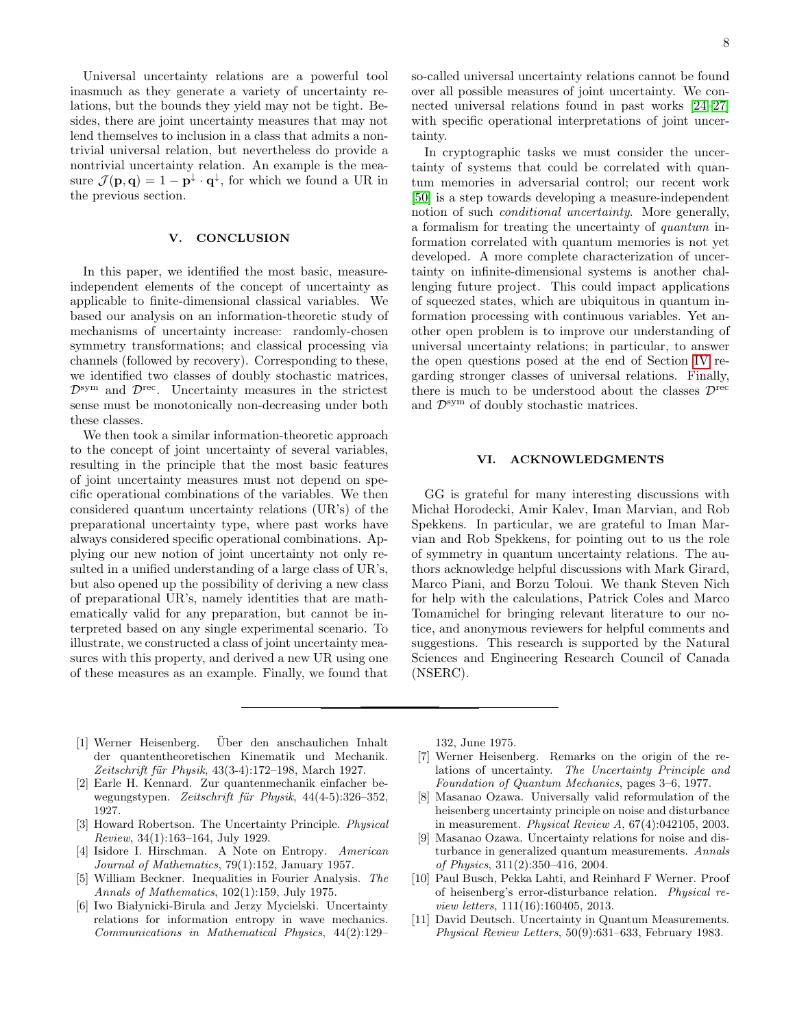Universal uncertainty relations are a powerful tool inasmuch as they generate a variety of uncertainty relations, but the bounds they yield may not be tight. Besides, there are joint uncertainty measures that may not lend themselves to inclusion in a class that admits a nontrivial universal relation, but nevertheless do provide a nontrivial uncertainty relation. An example is the measure  $\mathcal{J}(\mathbf{p}, \mathbf{q}) = 1 - \mathbf{p}^{\downarrow} \cdot \mathbf{q}^{\downarrow}$ , for which we found a UR in the previous section.

## V. CONCLUSION

In this paper, we identified the most basic, measureindependent elements of the concept of uncertainty as applicable to finite-dimensional classical variables. We based our analysis on an information-theoretic study of mechanisms of uncertainty increase: randomly-chosen symmetry transformations; and classical processing via channels (followed by recovery). Corresponding to these, we identified two classes of doubly stochastic matrices,  $\mathcal{D}^{\text{sym}}$  and  $\mathcal{D}^{\text{rec}}$ . Uncertainty measures in the strictest sense must be monotonically non-decreasing under both these classes.

We then took a similar information-theoretic approach to the concept of joint uncertainty of several variables, resulting in the principle that the most basic features of joint uncertainty measures must not depend on specific operational combinations of the variables. We then considered quantum uncertainty relations (UR's) of the preparational uncertainty type, where past works have always considered specific operational combinations. Applying our new notion of joint uncertainty not only resulted in a unified understanding of a large class of UR's, but also opened up the possibility of deriving a new class of preparational UR's, namely identities that are mathematically valid for any preparation, but cannot be interpreted based on any single experimental scenario. To illustrate, we constructed a class of joint uncertainty measures with this property, and derived a new UR using one of these measures as an example. Finally, we found that

so-called universal uncertainty relations cannot be found over all possible measures of joint uncertainty. We connected universal relations found in past works [\[24](#page-8-11)[–27\]](#page-8-12) with specific operational interpretations of joint uncertainty.

In cryptographic tasks we must consider the uncertainty of systems that could be correlated with quantum memories in adversarial control; our recent work [\[50\]](#page-8-23) is a step towards developing a measure-independent notion of such conditional uncertainty. More generally, a formalism for treating the uncertainty of quantum information correlated with quantum memories is not yet developed. A more complete characterization of uncertainty on infinite-dimensional systems is another challenging future project. This could impact applications of squeezed states, which are ubiquitous in quantum information processing with continuous variables. Yet another open problem is to improve our understanding of universal uncertainty relations; in particular, to answer the open questions posed at the end of Section [IV](#page-6-1) regarding stronger classes of universal relations. Finally, there is much to be understood about the classes  $\mathcal{D}^{\text{rec}}$ and  $\mathcal{D}^{\text{sym}}$  of doubly stochastic matrices.

### VI. ACKNOWLEDGMENTS

GG is grateful for many interesting discussions with Michał Horodecki, Amir Kalev, Iman Marvian, and Rob Spekkens. In particular, we are grateful to Iman Marvian and Rob Spekkens, for pointing out to us the role of symmetry in quantum uncertainty relations. The authors acknowledge helpful discussions with Mark Girard, Marco Piani, and Borzu Toloui. We thank Steven Nich for help with the calculations, Patrick Coles and Marco Tomamichel for bringing relevant literature to our notice, and anonymous reviewers for helpful comments and suggestions. This research is supported by the Natural Sciences and Engineering Research Council of Canada (NSERC).

- <span id="page-7-0"></span>[1] Werner Heisenberg. Über den anschaulichen Inhalt der quantentheoretischen Kinematik und Mechanik. Zeitschrift für Physik, 43(3-4):172–198, March 1927.
- <span id="page-7-1"></span>[2] Earle H. Kennard. Zur quantenmechanik einfacher bewegungstypen. Zeitschrift für Physik, 44(4-5):326-352, 1927.
- [3] Howard Robertson. The Uncertainty Principle. Physical Review, 34(1):163–164, July 1929.
- <span id="page-7-5"></span>[4] Isidore I. Hirschman. A Note on Entropy. American Journal of Mathematics, 79(1):152, January 1957.
- [5] William Beckner. Inequalities in Fourier Analysis. The Annals of Mathematics, 102(1):159, July 1975.
- <span id="page-7-2"></span>[6] Iwo Białynicki-Birula and Jerzy Mycielski. Uncertainty relations for information entropy in wave mechanics. Communications in Mathematical Physics, 44(2):129–

132, June 1975.

- <span id="page-7-3"></span>[7] Werner Heisenberg. Remarks on the origin of the relations of uncertainty. The Uncertainty Principle and Foundation of Quantum Mechanics, pages 3–6, 1977.
- [8] Masanao Ozawa. Universally valid reformulation of the heisenberg uncertainty principle on noise and disturbance in measurement. Physical Review A, 67(4):042105, 2003.
- [9] Masanao Ozawa. Uncertainty relations for noise and disturbance in generalized quantum measurements. Annals of Physics, 311(2):350–416, 2004.
- <span id="page-7-4"></span>[10] Paul Busch, Pekka Lahti, and Reinhard F Werner. Proof of heisenberg's error-disturbance relation. Physical review letters, 111(16):160405, 2013.
- <span id="page-7-6"></span>[11] David Deutsch. Uncertainty in Quantum Measurements. Physical Review Letters, 50(9):631–633, February 1983.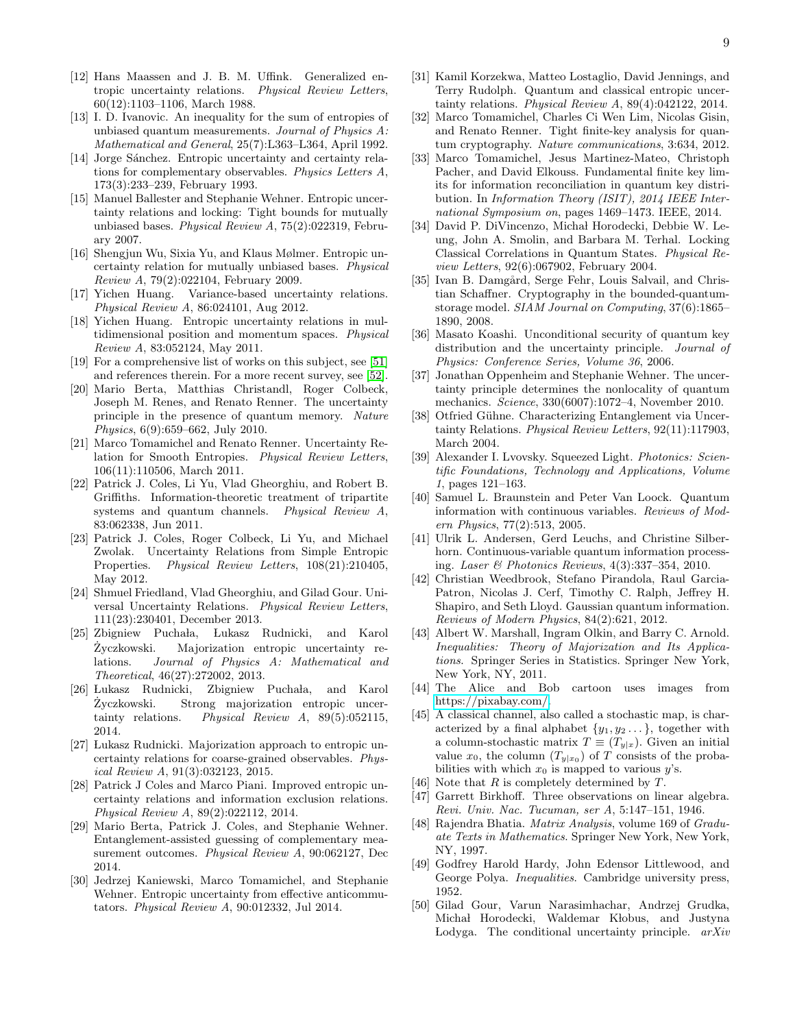- <span id="page-8-20"></span>[12] Hans Maassen and J. B. M. Uffink. Generalized entropic uncertainty relations. Physical Review Letters, 60(12):1103–1106, March 1988.
- [13] I. D. Ivanovic. An inequality for the sum of entropies of unbiased quantum measurements. Journal of Physics A: Mathematical and General, 25(7):L363–L364, April 1992.
- [14] Jorge Sánchez. Entropic uncertainty and certainty relations for complementary observables. Physics Letters A, 173(3):233–239, February 1993.
- [15] Manuel Ballester and Stephanie Wehner. Entropic uncertainty relations and locking: Tight bounds for mutually unbiased bases. Physical Review A, 75(2):022319, February 2007.
- [16] Shengjun Wu, Sixia Yu, and Klaus Mølmer. Entropic uncertainty relation for mutually unbiased bases. Physical Review A, 79(2):022104, February 2009.
- [17] Yichen Huang. Variance-based uncertainty relations. Physical Review A, 86:024101, Aug 2012.
- [18] Yichen Huang. Entropic uncertainty relations in multidimensional position and momentum spaces. Physical Review A, 83:052124, May 2011.
- <span id="page-8-0"></span>[19] For a comprehensive list of works on this subject, see [\[51\]](#page-9-1) and references therein. For a more recent survey, see [\[52\]](#page-9-2).
- <span id="page-8-1"></span>[20] Mario Berta, Matthias Christandl, Roger Colbeck, Joseph M. Renes, and Renato Renner. The uncertainty principle in the presence of quantum memory. Nature Physics, 6(9):659–662, July 2010.
- [21] Marco Tomamichel and Renato Renner. Uncertainty Relation for Smooth Entropies. Physical Review Letters, 106(11):110506, March 2011.
- [22] Patrick J. Coles, Li Yu, Vlad Gheorghiu, and Robert B. Griffiths. Information-theoretic treatment of tripartite systems and quantum channels. Physical Review A, 83:062338, Jun 2011.
- [23] Patrick J. Coles, Roger Colbeck, Li Yu, and Michael Zwolak. Uncertainty Relations from Simple Entropic Properties. Physical Review Letters, 108(21):210405, May 2012.
- <span id="page-8-11"></span>[24] Shmuel Friedland, Vlad Gheorghiu, and Gilad Gour. Universal Uncertainty Relations. Physical Review Letters, 111(23):230401, December 2013.
- <span id="page-8-21"></span>[25] Zbigniew Puchała, Lukasz Rudnicki, and Karol Życzkowski. Majorization entropic uncertainty relations. Journal of Physics A: Mathematical and Theoretical, 46(27):272002, 2013.
- <span id="page-8-22"></span>[26] Lukasz Rudnicki, Zbigniew Puchała, and Karol Życzkowski. Strong majorization entropic uncertainty relations. Physical Review A, 89(5):052115, 2014.
- <span id="page-8-12"></span>[27] Lukasz Rudnicki. Majorization approach to entropic uncertainty relations for coarse-grained observables. Physical Review A, 91(3):032123, 2015.
- [28] Patrick J Coles and Marco Piani. Improved entropic uncertainty relations and information exclusion relations. Physical Review A, 89(2):022112, 2014.
- [29] Mario Berta, Patrick J. Coles, and Stephanie Wehner. Entanglement-assisted guessing of complementary measurement outcomes. Physical Review A, 90:062127, Dec 2014.
- [30] Jedrzej Kaniewski, Marco Tomamichel, and Stephanie Wehner. Entropic uncertainty from effective anticommutators. Physical Review A, 90:012332, Jul 2014.
- <span id="page-8-2"></span>[31] Kamil Korzekwa, Matteo Lostaglio, David Jennings, and Terry Rudolph. Quantum and classical entropic uncertainty relations. Physical Review A, 89(4):042122, 2014.
- <span id="page-8-3"></span>[32] Marco Tomamichel, Charles Ci Wen Lim, Nicolas Gisin, and Renato Renner. Tight finite-key analysis for quantum cryptography. Nature communications, 3:634, 2012.
- <span id="page-8-4"></span>[33] Marco Tomamichel, Jesus Martinez-Mateo, Christoph Pacher, and David Elkouss. Fundamental finite key limits for information reconciliation in quantum key distribution. In Information Theory (ISIT), 2014 IEEE International Symposium on, pages 1469–1473. IEEE, 2014.
- <span id="page-8-5"></span>[34] David P. DiVincenzo, Michał Horodecki, Debbie W. Leung, John A. Smolin, and Barbara M. Terhal. Locking Classical Correlations in Quantum States. Physical Review Letters, 92(6):067902, February 2004.
- [35] Ivan B. Damgård, Serge Fehr, Louis Salvail, and Christian Schaffner. Cryptography in the bounded-quantumstorage model. SIAM Journal on Computing, 37(6):1865– 1890, 2008.
- <span id="page-8-6"></span>[36] Masato Koashi. Unconditional security of quantum key distribution and the uncertainty principle. *Journal of* Physics: Conference Series, Volume 36, 2006.
- <span id="page-8-7"></span>[37] Jonathan Oppenheim and Stephanie Wehner. The uncertainty principle determines the nonlocality of quantum mechanics. Science, 330(6007):1072–4, November 2010.
- <span id="page-8-8"></span>[38] Otfried Gühne. Characterizing Entanglement via Uncertainty Relations. Physical Review Letters, 92(11):117903, March 2004.
- <span id="page-8-9"></span>[39] Alexander I. Lvovsky. Squeezed Light. Photonics: Scientific Foundations, Technology and Applications, Volume 1, pages 121–163.
- [40] Samuel L. Braunstein and Peter Van Loock. Quantum information with continuous variables. Reviews of Modern Physics, 77(2):513, 2005.
- [41] Ulrik L. Andersen, Gerd Leuchs, and Christine Silberhorn. Continuous-variable quantum information processing. Laser & Photonics Reviews, 4(3):337–354, 2010.
- <span id="page-8-10"></span>[42] Christian Weedbrook, Stefano Pirandola, Raul Garcia-Patron, Nicolas J. Cerf, Timothy C. Ralph, Jeffrey H. Shapiro, and Seth Lloyd. Gaussian quantum information. Reviews of Modern Physics, 84(2):621, 2012.
- <span id="page-8-13"></span>[43] Albert W. Marshall, Ingram Olkin, and Barry C. Arnold. Inequalities: Theory of Majorization and Its Applications. Springer Series in Statistics. Springer New York, New York, NY, 2011.
- <span id="page-8-14"></span>[44] The Alice and Bob cartoon uses images from [https://pixabay.com/.](https://pixabay.com/)
- <span id="page-8-15"></span>[45] A classical channel, also called a stochastic map, is characterized by a final alphabet  $\{y_1, y_2 \dots\}$ , together with a column-stochastic matrix  $T \equiv (T_{y|x})$ . Given an initial value  $x_0$ , the column  $(T_{y|x_0})$  of T consists of the probabilities with which  $x_0$  is mapped to various y's.
- <span id="page-8-16"></span>[46] Note that  $R$  is completely determined by  $T$ .
- <span id="page-8-17"></span>[47] Garrett Birkhoff. Three observations on linear algebra. Revi. Univ. Nac. Tucuman, ser A, 5:147–151, 1946.
- <span id="page-8-18"></span>[48] Rajendra Bhatia. *Matrix Analysis*, volume 169 of *Gradu*ate Texts in Mathematics. Springer New York, New York, NY, 1997.
- <span id="page-8-19"></span>[49] Godfrey Harold Hardy, John Edensor Littlewood, and George Polya. Inequalities. Cambridge university press, 1952.
- <span id="page-8-23"></span>[50] Gilad Gour, Varun Narasimhachar, Andrzej Grudka, Michał Horodecki, Waldemar Kłobus, and Justyna Lodyga. The conditional uncertainty principle. arXiv